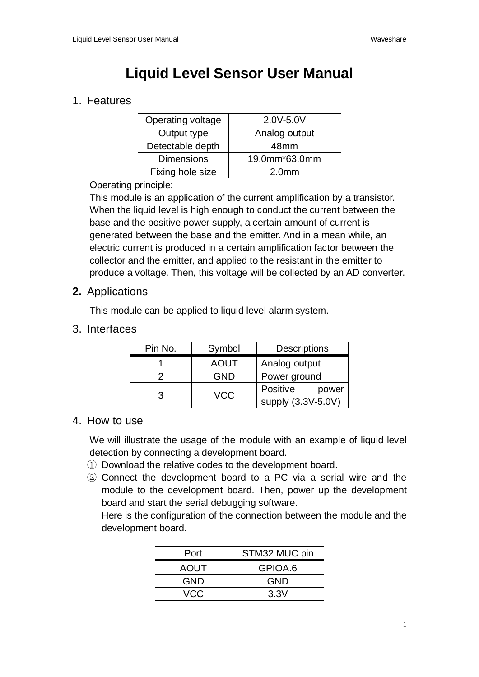# **Liquid Level Sensor User Manual**

## 1. Features

| Operating voltage | 2.0V-5.0V         |
|-------------------|-------------------|
| Output type       | Analog output     |
| Detectable depth  | 48 <sub>mm</sub>  |
| <b>Dimensions</b> | 19.0mm*63.0mm     |
| Fixing hole size  | 2.0 <sub>mm</sub> |

Operating principle:

This module is an application of the current amplification by a transistor. When the liquid level is high enough to conduct the current between the base and the positive power supply, a certain amount of current is generated between the base and the emitter. And in a mean while, an electric current is produced in a certain amplification factor between the collector and the emitter, and applied to the resistant in the emitter to produce a voltage. Then, this voltage will be collected by an AD converter.

### **2.** Applications

This module can be applied to liquid level alarm system.

### 3. Interfaces

| Pin No. | Symbol      | <b>Descriptions</b>                     |
|---------|-------------|-----------------------------------------|
|         | <b>AOUT</b> | Analog output                           |
| っ       | <b>GND</b>  | Power ground                            |
| 3       | <b>VCC</b>  | Positive<br>power<br>supply (3.3V-5.0V) |

#### 4. How to use

We will illustrate the usage of the module with an example of liquid level detection by connecting a development board.

- ① Download the relative codes to the development board.
- ② Connect the development board to a PC via a serial wire and the module to the development board. Then, power up the development board and start the serial debugging software.

Here is the configuration of the connection between the module and the development board.

| Port        | STM32 MUC pin |
|-------------|---------------|
| <b>AOUT</b> | GPIOA.6       |
| GND         | GND           |
| VCC         | 3.3V          |